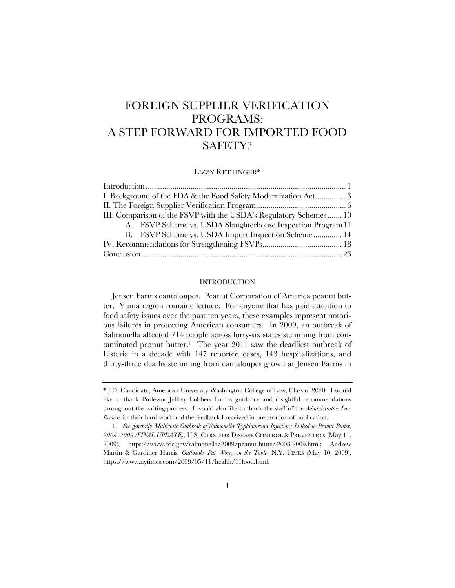# FOREIGN SUPPLIER VERIFICATION PROGRAMS: A STEP FORWARD FOR IMPORTED FOOD SAFETY?

## LIZZY RETTINGER\*

| I. Background of the FDA & the Food Safety Modernization Act3      |
|--------------------------------------------------------------------|
|                                                                    |
| III. Comparison of the FSVP with the USDA's Regulatory Schemes  10 |
| A. FSVP Scheme vs. USDA Slaughterhouse Inspection Program 11       |
| B. FSVP Scheme vs. USDA Import Inspection Scheme 14                |
|                                                                    |
|                                                                    |

### **INTRODUCTION**

Jensen Farms cantaloupes. Peanut Corporation of America peanut butter. Yuma region romaine lettuce. For anyone that has paid attention to food safety issues over the past ten years, these examples represent notorious failures in protecting American consumers. In 2009, an outbreak of Salmonella affected 714 people across forty-six states stemming from contaminated peanut butter.<sup>1</sup> The year 2011 saw the deadliest outbreak of Listeria in a decade with 147 reported cases, 143 hospitalizations, and thirty-three deaths stemming from cantaloupes grown at Jensen Farms in

<sup>\*</sup> J.D. Candidate, American University Washington College of Law, Class of 2020. I would like to thank Professor Jeffrey Lubbers for his guidance and insightful recommendations throughout the writing process. I would also like to thank the staff of the *Administrative Law Review* for their hard work and the feedback I received in preparation of publication.

<sup>1.</sup> *See generally Multistate Outbreak of Salmonella Typhimurium Infections Linked to Peanut Butter, 2008–2009 (FINAL UPDATE)*, U.S. CTRS. FOR DISEASE CONTROL & PREVENTION (May 11, 2009), https://www.cdc.gov/salmonella/2009/peanut-butter-2008-2009.html; Andrew Martin & Gardiner Harris, *Outbreaks Put Worry on the Table*, N.Y. TIMES (May 10, 2009), https://www.nytimes.com/2009/05/11/health/11food.html.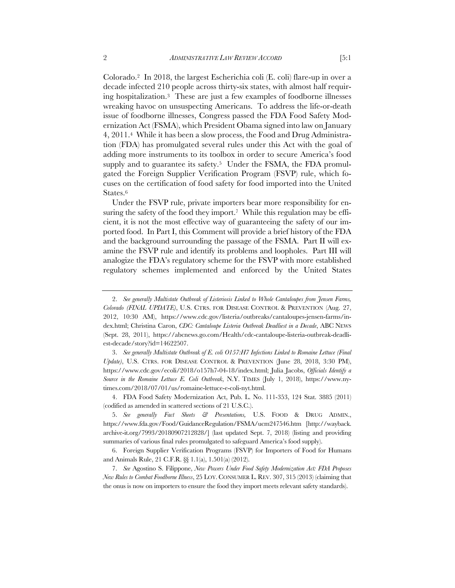Colorado.2 In 2018, the largest Escherichia coli (E. coli) flare-up in over a decade infected 210 people across thirty-six states, with almost half requiring hospitalization.3 These are just a few examples of foodborne illnesses wreaking havoc on unsuspecting Americans. To address the life-or-death issue of foodborne illnesses, Congress passed the FDA Food Safety Modernization Act (FSMA), which President Obama signed into law on January 4, 2011.4 While it has been a slow process, the Food and Drug Administration (FDA) has promulgated several rules under this Act with the goal of adding more instruments to its toolbox in order to secure America's food supply and to guarantee its safety.<sup>5</sup> Under the FSMA, the FDA promulgated the Foreign Supplier Verification Program (FSVP) rule, which focuses on the certification of food safety for food imported into the United States.6

Under the FSVP rule, private importers bear more responsibility for ensuring the safety of the food they import.<sup>7</sup> While this regulation may be efficient, it is not the most effective way of guaranteeing the safety of our imported food. In Part I, this Comment will provide a brief history of the FDA and the background surrounding the passage of the FSMA. Part II will examine the FSVP rule and identify its problems and loopholes. Part III will analogize the FDA's regulatory scheme for the FSVP with more established regulatory schemes implemented and enforced by the United States

<sup>2.</sup> *See generally Multistate Outbreak of Listeriosis Linked to Whole Cantaloupes from Jensen Farms, Colorado (FINAL UPDATE)*, U.S. CTRS. FOR DISEASE CONTROL & PREVENTION (Aug. 27, 2012, 10:30 AM), https://www.cdc.gov/listeria/outbreaks/cantaloupes-jensen-farms/index.html; Christina Caron, *CDC: Cantaloupe Listeria Outbreak Deadliest in a Decade*, ABC NEWS (Sept. 28, 2011), https://abcnews.go.com/Health/cdc-cantaloupe-listeria-outbreak-deadliest-decade/story?id=14622507.

<sup>3.</sup> *See generally Multistate Outbreak of E. coli O157:H7 Infections Linked to Romaine Lettuce (Final Update)*, U.S. CTRS. FOR DISEASE CONTROL & PREVENTION (June 28, 2018, 3:30 PM), https://www.cdc.gov/ecoli/2018/o157h7-04-18/index.html; Julia Jacobs, *Officials Identify a Source in the Romaine Lettuce E. Coli Outbreak*, N.Y. TIMES (July 1, 2018), https://www.nytimes.com/2018/07/01/us/romaine-lettuce-e-coli-nyt.html.

<sup>4.</sup> FDA Food Safety Modernization Act, Pub. L. No. 111-353, 124 Stat. 3885 (2011) (codified as amended in scattered sections of 21 U.S.C.).

<sup>5.</sup> *See generally Fact Sheets & Presentations,* U.S. FOOD & DRUG ADMIN., https://www.fda.gov/Food/GuidanceRegulation/FSMA/ucm247546.htm [http://wayback. archive-it.org/7993/20180907212828/] (last updated Sept. 7, 2018) (listing and providing summaries of various final rules promulgated to safeguard America's food supply).

<sup>6.</sup> Foreign Supplier Verification Programs (FSVP) for Importers of Food for Humans and Animals Rule, 21 C.F.R. §§ 1.1(a), 1.501(a) (2012).

<sup>7.</sup> *See* Agostino S. Filippone, *New Powers Under Food Safety Modernization Act: FDA Proposes New Rules to Combat Foodborne Illness*, 25 LOY. CONSUMER L. REV. 307, 315 (2013) (claiming that the onus is now on importers to ensure the food they import meets relevant safety standards).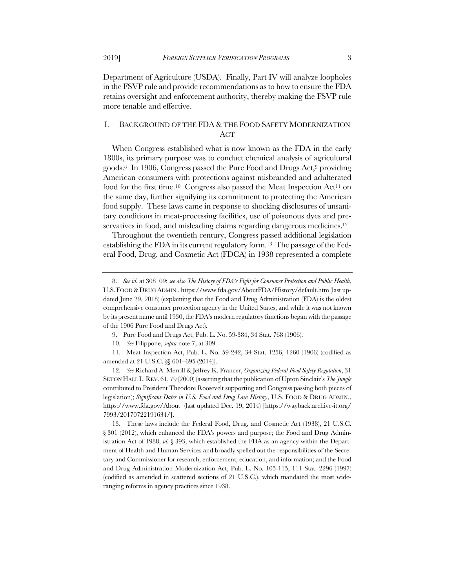Department of Agriculture (USDA). Finally, Part IV will analyze loopholes in the FSVP rule and provide recommendations as to how to ensure the FDA retains oversight and enforcement authority, thereby making the FSVP rule more tenable and effective.

# I. BACKGROUND OF THE FDA & THE FOOD SAFETY MODERNIZATION ACT

When Congress established what is now known as the FDA in the early 1800s, its primary purpose was to conduct chemical analysis of agricultural goods.8 In 1906, Congress passed the Pure Food and Drugs Act,9 providing American consumers with protections against misbranded and adulterated food for the first time.<sup>10</sup> Congress also passed the Meat Inspection Act<sup>11</sup> on the same day, further signifying its commitment to protecting the American food supply. These laws came in response to shocking disclosures of unsanitary conditions in meat-processing facilities, use of poisonous dyes and preservatives in food, and misleading claims regarding dangerous medicines.<sup>12</sup>

Throughout the twentieth century, Congress passed additional legislation establishing the FDA in its current regulatory form.13 The passage of the Federal Food, Drug, and Cosmetic Act (FDCA) in 1938 represented a complete

<sup>8.</sup> *See id.* at 308–09; *see also The History of FDA's Fight for Consumer Protection and Public Health*, U.S. FOOD &DRUG ADMIN., https://www.fda.gov/AboutFDA/History/default.htm (last updated June 29, 2018) (explaining that the Food and Drug Administration (FDA) is the oldest comprehensive consumer protection agency in the United States, and while it was not known by its present name until 1930, the FDA's modern regulatory functions began with the passage of the 1906 Pure Food and Drugs Act).

<sup>9.</sup> Pure Food and Drugs Act, Pub. L. No. 59-384, 34 Stat. 768 (1906).

<sup>10.</sup> *See* Filippone, *supra* note 7, at 309.

<sup>11.</sup> Meat Inspection Act, Pub. L. No. 59-242, 34 Stat. 1256, 1260 (1906) (codified as amended at 21 U.S.C. §§ 601–695 (2014)).

<sup>12.</sup> *See* Richard A. Merrill & Jeffrey K. Francer, *Organizing Federal Food Safety Regulation*, 31 SETON HALL L.REV. 61, 79 (2000) (asserting that the publication of Upton Sinclair's *The Jungle* contributed to President Theodore Roosevelt supporting and Congress passing both pieces of legislation); *Significant Dates in U.S. Food and Drug Law History*, U.S. FOOD & DRUG ADMIN., https://www.fda.gov/About (last updated Dec. 19, 2014) [https://wayback.archive-it.org/ 7993/20170722191634/].

<sup>13.</sup> These laws include the Federal Food, Drug, and Cosmetic Act (1938), 21 U.S.C. § 301 (2012), which enhanced the FDA's powers and purpose; the Food and Drug Administration Act of 1988, *id.* § 393, which established the FDA as an agency within the Department of Health and Human Services and broadly spelled out the responsibilities of the Secretary and Commissioner for research, enforcement, education, and information; and the Food and Drug Administration Modernization Act, Pub. L. No. 105-115, 111 Stat. 2296 (1997) (codified as amended in scattered sections of 21 U.S.C.), which mandated the most wideranging reforms in agency practices since 1938.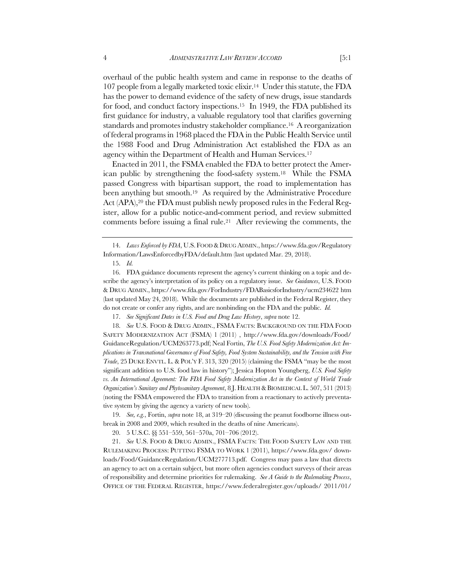overhaul of the public health system and came in response to the deaths of 107 people from a legally marketed toxic elixir.14 Under this statute, the FDA has the power to demand evidence of the safety of new drugs, issue standards for food, and conduct factory inspections.<sup>15</sup> In 1949, the FDA published its first guidance for industry, a valuable regulatory tool that clarifies governing standards and promotes industry stakeholder compliance.16 A reorganization of federal programs in 1968 placed the FDA in the Public Health Service until the 1988 Food and Drug Administration Act established the FDA as an agency within the Department of Health and Human Services.17

Enacted in 2011, the FSMA enabled the FDA to better protect the American public by strengthening the food-safety system.18 While the FSMA passed Congress with bipartisan support, the road to implementation has been anything but smooth.19 As required by the Administrative Procedure Act (APA),<sup>20</sup> the FDA must publish newly proposed rules in the Federal Register, allow for a public notice-and-comment period, and review submitted comments before issuing a final rule.21 After reviewing the comments, the

18. *See* U.S. FOOD & DRUG ADMIN., FSMA FACTS: BACKGROUND ON THE FDA FOOD SAFETY MODERNIZATION ACT (FSMA) 1 (2011) , http://www.fda.gov/downloads/Food/ GuidanceRegulation/UCM263773.pdf; Neal Fortin, *The U.S. Food Safety Modernization Act: Implications in Transnational Governance of Food Safety, Food System Sustainability, and the Tension with Free Trade*, 25 DUKE ENVTL. L. & POL'Y F. 313, 320 (2015) (claiming the FSMA "may be the most significant addition to U.S. food law in history"); Jessica Hopton Youngberg, *U.S. Food Safety*  vs. An International Agreement: The FDA Food Safety Modernization Act in the Context of World Trade *Organization's Sanitary and Phytosanitary Agreement*, 8 J. HEALTH &BIOMEDICAL L. 507, 511 (2013) (noting the FSMA empowered the FDA to transition from a reactionary to actively preventative system by giving the agency a variety of new tools).

19. *See, e.g.*, Fortin, *supra* note 18, at 319–20 (discussing the peanut foodborne illness outbreak in 2008 and 2009, which resulted in the deaths of nine Americans).

20. 5 U.S.C. §§ 551–559, 561–570a, 701–706 (2012).

21. *See* U.S. FOOD & DRUG ADMIN., FSMA FACTS: THE FOOD SAFETY LAW AND THE RULEMAKING PROCESS: PUTTING FSMA TO WORK 1 (2011), https://www.fda.gov/ downloads/Food/GuidanceRegulation/UCM277713.pdf. Congress may pass a law that directs an agency to act on a certain subject, but more often agencies conduct surveys of their areas of responsibility and determine priorities for rulemaking. *See A Guide to the Rulemaking Process*, OFFICE OF THE FEDERAL REGISTER, https://www.federalregister.gov/uploads/ 2011/01/

<sup>14.</sup> *Laws Enforced by FDA*, U.S. FOOD &DRUG ADMIN., https://www.fda.gov/Regulatory Information/LawsEnforcedbyFDA/default.htm (last updated Mar. 29, 2018).

<sup>15.</sup> *Id.*

<sup>16.</sup> FDA guidance documents represent the agency's current thinking on a topic and describe the agency's interpretation of its policy on a regulatory issue. *See Guidances*, U.S. FOOD & DRUG ADMIN., https://www.fda.gov/ForIndustry/FDABasicsforIndustry/ucm234622 htm (last updated May 24, 2018). While the documents are published in the Federal Register, they do not create or confer any rights, and are nonbinding on the FDA and the public. *Id.*

<sup>17.</sup> *See Significant Dates in U.S. Food and Drug Law History*, *supra* note 12.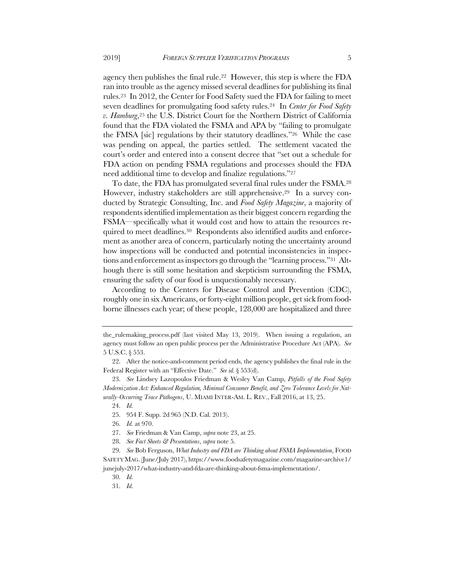agency then publishes the final rule.22 However, this step is where the FDA ran into trouble as the agency missed several deadlines for publishing its final rules.23 In 2012, the Center for Food Safety sued the FDA for failing to meet seven deadlines for promulgating food safety rules.24 In *Center for Food Safety v. Hamburg*,25 the U.S. District Court for the Northern District of California found that the FDA violated the FSMA and APA by "failing to promulgate the FMSA [sic] regulations by their statutory deadlines."26 While the case was pending on appeal, the parties settled. The settlement vacated the court's order and entered into a consent decree that "set out a schedule for FDA action on pending FSMA regulations and processes should the FDA need additional time to develop and finalize regulations."27

To date, the FDA has promulgated several final rules under the FSMA.28 However, industry stakeholders are still apprehensive.29 In a survey conducted by Strategic Consulting, Inc. and *Food Safety Magazine*, a majority of respondents identified implementation as their biggest concern regarding the FSMA—specifically what it would cost and how to attain the resources required to meet deadlines.30 Respondents also identified audits and enforcement as another area of concern, particularly noting the uncertainty around how inspections will be conducted and potential inconsistencies in inspections and enforcement as inspectors go through the "learning process."31 Although there is still some hesitation and skepticism surrounding the FSMA, ensuring the safety of our food is unquestionably necessary.

According to the Centers for Disease Control and Prevention (CDC), roughly one in six Americans, or forty-eight million people, get sick from foodborne illnesses each year; of these people, 128,000 are hospitalized and three

25. 954 F. Supp. 2d 965 (N.D. Cal. 2013).

- 27. *See* Friedman & Van Camp, *supra* note 23, at 25.
- 28. *See Fact Sheets & Presentations*, *supra* note 5.

the\_rulemaking\_process.pdf (last visited May 13, 2019). When issuing a regulation, an agency must follow an open public process per the Administrative Procedure Act (APA). *See*  5 U.S.C. § 553.

<sup>22.</sup> After the notice-and-comment period ends, the agency publishes the final rule in the Federal Register with an "Effective Date." *See id.* § 553(d).

<sup>23.</sup> *See* Lindsey Lazopoulos Friedman & Wesley Van Camp, *Pitfalls of the Food Safety Modernization Act: Enhanced Regulation, Minimal Consumer Benefit, and Zero Tolerance Levels for Naturally-Occurring Trace Pathogens*, U. MIAMI INTER-AM. L. REV., Fall 2016, at 13, 25.

<sup>24.</sup> *Id.*

<sup>26.</sup> *Id.* at 970.

<sup>29.</sup> *See* Bob Ferguson, *What Industry and FDA are Thinking about FSMA Implementation*, FOOD SAFETY MAG. (June/July 2017), https://www.foodsafetymagazine.com/magazine-archive1/ junejuly-2017/what-industry-and-fda-are-thinking-about-fsma-implementation/.

<sup>30.</sup> *Id.*

<sup>31.</sup> *Id.*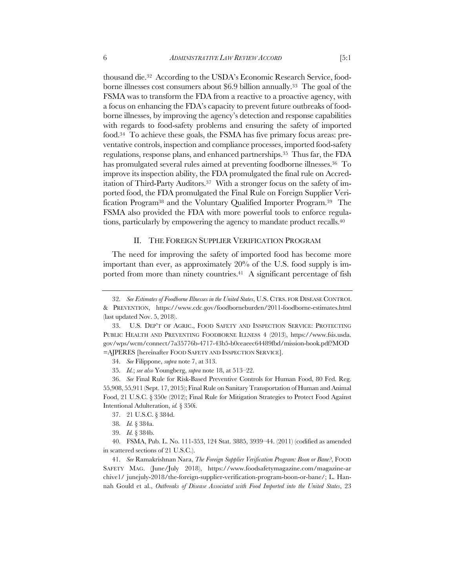thousand die.32 According to the USDA's Economic Research Service, foodborne illnesses cost consumers about \$6.9 billion annually.33 The goal of the FSMA was to transform the FDA from a reactive to a proactive agency, with a focus on enhancing the FDA's capacity to prevent future outbreaks of foodborne illnesses, by improving the agency's detection and response capabilities with regards to food-safety problems and ensuring the safety of imported food.34 To achieve these goals, the FSMA has five primary focus areas: preventative controls, inspection and compliance processes, imported food-safety regulations, response plans, and enhanced partnerships.35 Thus far, the FDA has promulgated several rules aimed at preventing foodborne illnesses.<sup>36</sup> To improve its inspection ability, the FDA promulgated the final rule on Accreditation of Third-Party Auditors.<sup>37</sup> With a stronger focus on the safety of imported food, the FDA promulgated the Final Rule on Foreign Supplier Verification Program38 and the Voluntary Qualified Importer Program.39 The FSMA also provided the FDA with more powerful tools to enforce regulations, particularly by empowering the agency to mandate product recalls.40

## II. THE FOREIGN SUPPLIER VERIFICATION PROGRAM

The need for improving the safety of imported food has become more important than ever, as approximately 20% of the U.S. food supply is imported from more than ninety countries.<sup>41</sup> A significant percentage of fish

37. 21 U.S.C. § 384d.

39. *Id.* § 384b.

<sup>32.</sup> *See Estimates of Foodborne Illnesses in the United States*, U.S. CTRS. FOR DISEASE CONTROL & PREVENTION, https://www.cdc.gov/foodborneburden/2011-foodborne-estimates.html (last updated Nov. 5, 2018).

<sup>33.</sup> U.S. DEP'T OF AGRIC., FOOD SAFETY AND INSPECTION SERVICE: PROTECTING PUBLIC HEALTH AND PREVENTING FOODBORNE ILLNESS 4 (2013), https://www.fsis.usda. gov/wps/wcm/connect/7a35776b-4717-43b5-b0ceaeec64489fbd/mission-book.pdf?MOD =AJPERES [hereinafter FOOD SAFETY AND INSPECTION SERVICE].

<sup>34.</sup> *See* Filippone, *supra* note 7, at 313.

<sup>35.</sup> *Id.*; *see also* Youngberg, *supra* note 18, at 513–22.

<sup>36.</sup> *See* Final Rule for Risk-Based Preventive Controls for Human Food, 80 Fed. Reg. 55,908, 55,911 (Sept. 17, 2015); Final Rule on Sanitary Transportation of Human and Animal Food, 21 U.S.C. § 350e (2012); Final Rule for Mitigation Strategies to Protect Food Against Intentional Adulteration, *id.* § 350i.

<sup>38.</sup> *Id.* § 384a.

<sup>40.</sup> FSMA, Pub. L. No. 111-353, 124 Stat. 3885, 3939–44. (2011) (codified as amended in scattered sections of 21 U.S.C.).

<sup>41.</sup> *See* Ramakrishnan Nara, *The Foreign Supplier Verification Program: Boon or Bane?*, FOOD SAFETY MAG. (June/July 2018), https://www.foodsafetymagazine.com/magazine-ar chive1/ junejuly-2018/the-foreign-supplier-verification-program-boon-or-bane/; L. Hannah Gould et al., *Outbreaks of Disease Associated with Food Imported into the United States*, 23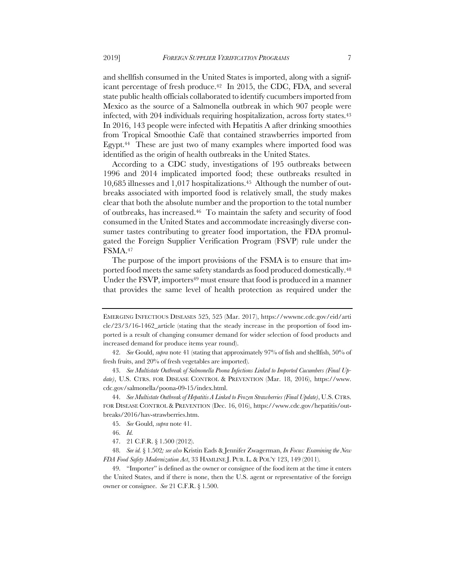and shellfish consumed in the United States is imported, along with a significant percentage of fresh produce.<sup>42</sup> In 2015, the CDC, FDA, and several state public health officials collaborated to identify cucumbers imported from Mexico as the source of a Salmonella outbreak in which 907 people were infected, with 204 individuals requiring hospitalization, across forty states.<sup>43</sup> In 2016, 143 people were infected with Hepatitis A after drinking smoothies from Tropical Smoothie Café that contained strawberries imported from Egypt.<sup>44</sup> These are just two of many examples where imported food was identified as the origin of health outbreaks in the United States.

According to a CDC study, investigations of 195 outbreaks between 1996 and 2014 implicated imported food; these outbreaks resulted in 10,685 illnesses and 1,017 hospitalizations.45 Although the number of outbreaks associated with imported food is relatively small, the study makes clear that both the absolute number and the proportion to the total number of outbreaks, has increased.46 To maintain the safety and security of food consumed in the United States and accommodate increasingly diverse consumer tastes contributing to greater food importation, the FDA promulgated the Foreign Supplier Verification Program (FSVP) rule under the FSMA.47

The purpose of the import provisions of the FSMA is to ensure that imported food meets the same safety standards as food produced domestically.<sup>48</sup> Under the FSVP, importers<sup>49</sup> must ensure that food is produced in a manner that provides the same level of health protection as required under the

44. *See Multistate Outbreak of Hepatitis A Linked to Frozen Strawberries (Final Update)*, U.S. CTRS. FOR DISEASE CONTROL & PREVENTION (Dec. 16, 016), https://www.cdc.gov/hepatitis/outbreaks/2016/hav-strawberries.htm.

EMERGING INFECTIOUS DISEASES 525, 525 (Mar. 2017), https://wwwnc.cdc.gov/eid/arti cle/23/3/16-1462\_article (stating that the steady increase in the proportion of food imported is a result of changing consumer demand for wider selection of food products and increased demand for produce items year round).

<sup>42.</sup> *See* Gould, *supra* note 41 (stating that approximately 97% of fish and shellfish, 50% of fresh fruits, and 20% of fresh vegetables are imported).

<sup>43.</sup> *See Multistate Outbreak of Salmonella Poona Infections Linked to Imported Cucumbers (Final Update)*, U.S. CTRS. FOR DISEASE CONTROL & PREVENTION (Mar. 18, 2016), https://www. cdc.gov/salmonella/poona-09-15/index.html.

<sup>45.</sup> *See* Gould, *supra* note 41.

<sup>46.</sup> *Id.*

<sup>47.</sup> 21 C.F.R. § 1.500 (2012).

<sup>48.</sup> *See id.* § 1.502*; see also* Kristin Eads & Jennifer Zwagerman, *In Focus: Examining the New FDA Food Safety Modernization Act*, 33 HAMLINE J. PUB. L. & POL'Y 123, 149 (2011).

<sup>49.</sup> "Importer" is defined as the owner or consignee of the food item at the time it enters the United States, and if there is none, then the U.S. agent or representative of the foreign owner or consignee. *See* 21 C.F.R. § 1.500.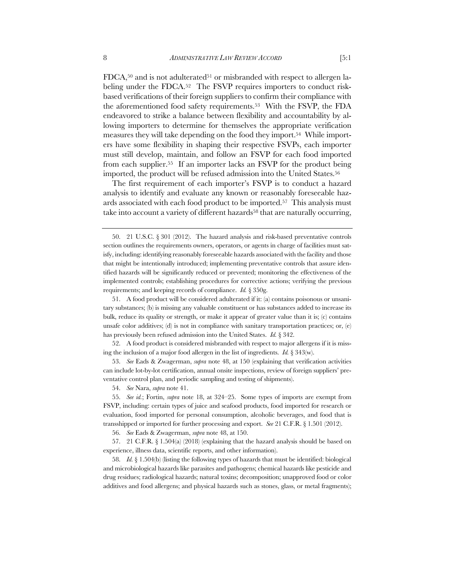$FDCA$ ,<sup>50</sup> and is not adulterated<sup>51</sup> or misbranded with respect to allergen labeling under the FDCA.<sup>52</sup> The FSVP requires importers to conduct riskbased verifications of their foreign suppliers to confirm their compliance with the aforementioned food safety requirements.53 With the FSVP, the FDA endeavored to strike a balance between flexibility and accountability by allowing importers to determine for themselves the appropriate verification measures they will take depending on the food they import.54 While importers have some flexibility in shaping their respective FSVPs, each importer must still develop, maintain, and follow an FSVP for each food imported from each supplier.55 If an importer lacks an FSVP for the product being imported, the product will be refused admission into the United States.56

The first requirement of each importer's FSVP is to conduct a hazard analysis to identify and evaluate any known or reasonably foreseeable hazards associated with each food product to be imported.57 This analysis must take into account a variety of different hazards<sup>58</sup> that are naturally occurring,

56. *See* Eads & Zwagerman, *supra* note 48, at 150.

57. 21 C.F.R. § 1.504(a) (2018) (explaining that the hazard analysis should be based on experience, illness data, scientific reports, and other information).

58. *Id.* § 1.504(b) (listing the following types of hazards that must be identified: biological and microbiological hazards like parasites and pathogens; chemical hazards like pesticide and drug residues; radiological hazards; natural toxins; decomposition; unapproved food or color additives and food allergens; and physical hazards such as stones, glass, or metal fragments);

<sup>50.</sup> 21 U.S.C. § 301 (2012). The hazard analysis and risk-based preventative controls section outlines the requirements owners, operators, or agents in charge of facilities must satisfy, including: identifying reasonably foreseeable hazards associated with the facility and those that might be intentionally introduced; implementing preventative controls that assure identified hazards will be significantly reduced or prevented; monitoring the effectiveness of the implemented controls; establishing procedures for corrective actions; verifying the previous requirements; and keeping records of compliance. *Id.* § 350g.

<sup>51.</sup> A food product will be considered adulterated if it: (a) contains poisonous or unsanitary substances; (b) is missing any valuable constituent or has substances added to increase its bulk, reduce its quality or strength, or make it appear of greater value than it is; (c) contains unsafe color additives; (d) is not in compliance with sanitary transportation practices; or,  $(e)$ has previously been refused admission into the United States. *Id.* § 342.

<sup>52.</sup> A food product is considered misbranded with respect to major allergens if it is missing the inclusion of a major food allergen in the list of ingredients. *Id.* § 343(w).

<sup>53.</sup> *See* Eads & Zwagerman, *supra* note 48, at 150 (explaining that verification activities can include lot-by-lot certification, annual onsite inspections, review of foreign suppliers' preventative control plan, and periodic sampling and testing of shipments).

<sup>54.</sup> *See* Nara, *supra* note 41.

<sup>55.</sup> *See id.*; Fortin, *supra* note 18, at 324–25. Some types of imports are exempt from FSVP, including: certain types of juice and seafood products, food imported for research or evaluation, food imported for personal consumption, alcoholic beverages, and food that is transshipped or imported for further processing and export. *See* 21 C.F.R. § 1.501 (2012).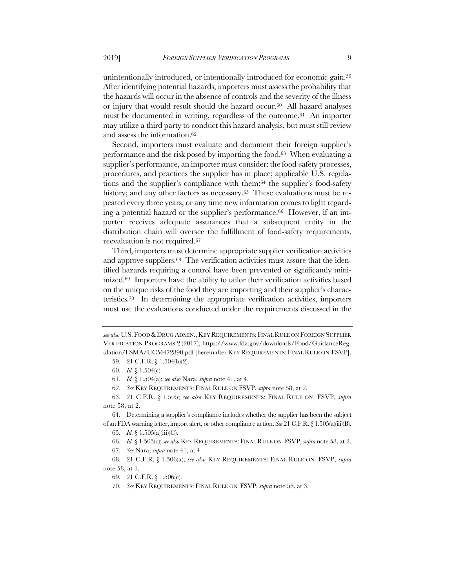unintentionally introduced, or intentionally introduced for economic gain.59 After identifying potential hazards, importers must assess the probability that the hazards will occur in the absence of controls and the severity of the illness or injury that would result should the hazard occur.60 All hazard analyses must be documented in writing, regardless of the outcome.61 An importer may utilize a third party to conduct this hazard analysis, but must still review and assess the information.62

Second, importers must evaluate and document their foreign supplier's performance and the risk posed by importing the food.63 When evaluating a supplier's performance, an importer must consider: the food-safety processes, procedures, and practices the supplier has in place; applicable U.S. regulations and the supplier's compliance with them;64 the supplier's food-safety history; and any other factors as necessary.<sup>65</sup> These evaluations must be repeated every three years, or any time new information comes to light regarding a potential hazard or the supplier's performance.66 However, if an importer receives adequate assurances that a subsequent entity in the distribution chain will oversee the fulfillment of food-safety requirements, reevaluation is not required.67

Third, importers must determine appropriate supplier verification activities and approve suppliers.<sup>68</sup> The verification activities must assure that the identified hazards requiring a control have been prevented or significantly minimized.69 Importers have the ability to tailor their verification activities based on the unique risks of the food they are importing and their supplier's characteristics.70 In determining the appropriate verification activities, importers must use the evaluations conducted under the requirements discussed in the

64. Determining a supplier's compliance includes whether the supplier has been the subject of an FDA warning letter, import alert, or other compliance action. *See* 21 C.F.R. § 1.505(a)(iii)(B).

65. *Id.* § 1.505(a)(iii)(C).

66. *Id.*§ 1.505(c); *see also* KEY REQUIREMENTS: FINAL RULE ON FSVP, *supra* note 58, at 2.

67. *See* Nara, *supra* note 41, at 4.

68. 21 C.F.R. § 1.506(a); *see also* KEY REQUIREMENTS: FINAL RULE ON FSVP, *supra* note 58, at 1.

69. 21 C.F.R. § 1.506(c).

70. *See* KEY REQUIREMENTS: FINAL RULE ON FSVP, *supra* note 58, at 3.

*see also* U.S. FOOD &DRUG ADMIN.,KEY REQUIREMENTS: FINAL RULE ON FOREIGN SUPPLIER VERIFICATION PROGRAMS 2 (2017), https://www.fda.gov/downloads/Food/GuidanceRegulation/FSMA/UCM472890.pdf [hereinafter KEY REQUIREMENTS: FINAL RULE ON FSVP].

<sup>59.</sup> 21 C.F.R. § 1.504(b)(2).

<sup>60.</sup> *Id.* § 1.504(c).

<sup>61.</sup> *Id.* § 1.504(a); *see also* Nara, *supra* note 41, at 4.

<sup>62.</sup> *See* KEY REQUIREMENTS: FINAL RULE ON FSVP, *supra* note 58, at 2.

<sup>63.</sup> 21 C.F.R. § 1.505; *see also* KEY REQUIREMENTS: FINAL RULE ON FSVP, *supra* note 58, at 2.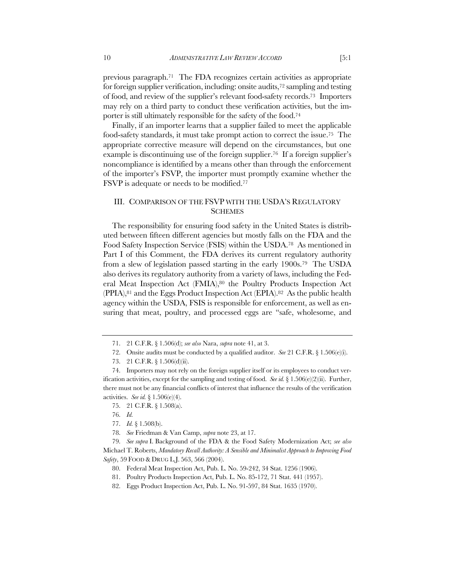previous paragraph.71 The FDA recognizes certain activities as appropriate for foreign supplier verification, including: onsite audits,<sup>72</sup> sampling and testing of food, and review of the supplier's relevant food-safety records.73 Importers may rely on a third party to conduct these verification activities, but the importer is still ultimately responsible for the safety of the food.74

Finally, if an importer learns that a supplier failed to meet the applicable food-safety standards, it must take prompt action to correct the issue.75 The appropriate corrective measure will depend on the circumstances, but one example is discontinuing use of the foreign supplier.<sup>76</sup> If a foreign supplier's noncompliance is identified by a means other than through the enforcement of the importer's FSVP, the importer must promptly examine whether the FSVP is adequate or needs to be modified.<sup>77</sup>

# III. COMPARISON OF THE FSVP WITH THE USDA'S REGULATORY **SCHEMES**

The responsibility for ensuring food safety in the United States is distributed between fifteen different agencies but mostly falls on the FDA and the Food Safety Inspection Service (FSIS) within the USDA.78 As mentioned in Part I of this Comment, the FDA derives its current regulatory authority from a slew of legislation passed starting in the early 1900s.79 The USDA also derives its regulatory authority from a variety of laws, including the Federal Meat Inspection Act (FMIA),80 the Poultry Products Inspection Act (PPIA),81 and the Eggs Product Inspection Act (EPIA).82 As the public health agency within the USDA, FSIS is responsible for enforcement, as well as ensuring that meat, poultry, and processed eggs are "safe, wholesome, and

- 77. *Id.* § 1.508(b).
- 78. *See* Friedman & Van Camp, *supra* note 23, at 17.

82. Eggs Product Inspection Act, Pub. L. No. 91-597, 84 Stat. 1635 (1970).

<sup>71.</sup> 21 C.F.R. § 1.506(d); *see also* Nara, *supra* note 41, at 3.

<sup>72.</sup> Onsite audits must be conducted by a qualified auditor. *See* 21 C.F.R.  $\S$  1.506(e)(i).

<sup>73.</sup> 21 C.F.R. § 1.506(d)(ii).

<sup>74.</sup> Importers may not rely on the foreign supplier itself or its employees to conduct verification activities, except for the sampling and testing of food. *See id.* § 1.506(e)(2)(ii). Further, there must not be any financial conflicts of interest that influence the results of the verification activities. *See id.* § 1.506(e)(4).

<sup>75.</sup> 21 C.F.R. § 1.508(a).

<sup>76.</sup> *Id.*

<sup>79.</sup> *See supra* I. Background of the FDA & the Food Safety Modernization Act; *see also* Michael T. Roberts, *Mandatory Recall Authority: A Sensible and Minimalist Approach to Improving Food Safety*, 59 FOOD & DRUG L.J. 563, 566 (2004).

<sup>80.</sup> Federal Meat Inspection Act, Pub. L. No. 59-242, 34 Stat. 1256 (1906).

<sup>81.</sup> Poultry Products Inspection Act, Pub. L. No. 85-172, 71 Stat. 441 (1957).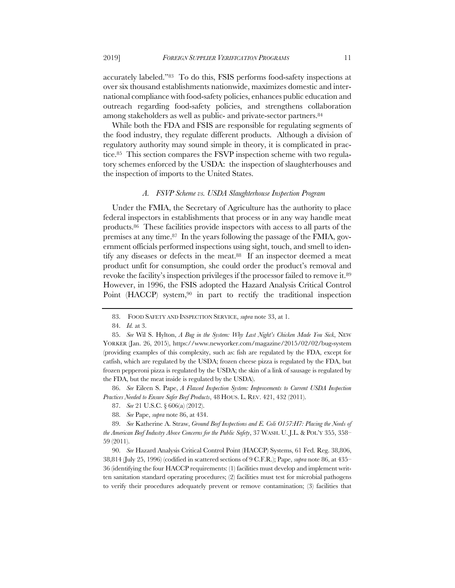accurately labeled."83 To do this, FSIS performs food-safety inspections at over six thousand establishments nationwide, maximizes domestic and international compliance with food-safety policies, enhances public education and outreach regarding food-safety policies, and strengthens collaboration among stakeholders as well as public- and private-sector partners.84

While both the FDA and FSIS are responsible for regulating segments of the food industry, they regulate different products. Although a division of regulatory authority may sound simple in theory, it is complicated in practice.85 This section compares the FSVP inspection scheme with two regulatory schemes enforced by the USDA: the inspection of slaughterhouses and the inspection of imports to the United States.

#### *A. FSVP Scheme vs. USDA Slaughterhouse Inspection Program*

Under the FMIA, the Secretary of Agriculture has the authority to place federal inspectors in establishments that process or in any way handle meat products.86 These facilities provide inspectors with access to all parts of the premises at any time.87 In the years following the passage of the FMIA, government officials performed inspections using sight, touch, and smell to identify any diseases or defects in the meat.88 If an inspector deemed a meat product unfit for consumption, she could order the product's removal and revoke the facility's inspection privileges if the processor failed to remove it.89 However, in 1996, the FSIS adopted the Hazard Analysis Critical Control Point (HACCP) system,<sup>90</sup> in part to rectify the traditional inspection

86. *See* Eileen S. Pape, *A Flawed Inspection System: Improvements to Current USDA Inspection Practices Needed to Ensure Safer Beef Products*, 48 HOUS. L. REV. 421, 432 (2011).

87. *See* 21 U.S.C. § 606(a) (2012).

88. *See* Pape, *supra* note 86, at 434.

89. *See* Katherine A. Straw, *Ground Beef Inspections and E. Coli O157:H7: Placing the Needs of the American Beef Industry Above Concerns for the Public Safety*, 37 WASH. U. J.L. & POL'Y 355, 358– 59 (2011).

90. *See* Hazard Analysis Critical Control Point (HACCP) Systems, 61 Fed. Reg. 38,806, 38,814 (July 25, 1996) (codified in scattered sections of 9 C.F.R.); Pape, *supra* note 86, at 435– 36 (identifying the four HACCP requirements: (1) facilities must develop and implement written sanitation standard operating procedures; (2) facilities must test for microbial pathogens to verify their procedures adequately prevent or remove contamination; (3) facilities that

<sup>83.</sup> FOOD SAFETY AND INSPECTION SERVICE, *supra* note 33, at 1.

<sup>84.</sup> *Id.* at 3.

<sup>85.</sup> *See* Wil S. Hylton, *A Bug in the System: Why Last Night's Chicken Made You Sick*, NEW YORKER (Jan. 26, 2015), https://www.newyorker.com/magazine/2015/02/02/bug-system (providing examples of this complexity, such as: fish are regulated by the FDA, except for catfish, which are regulated by the USDA; frozen cheese pizza is regulated by the FDA, but frozen pepperoni pizza is regulated by the USDA; the skin of a link of sausage is regulated by the FDA, but the meat inside is regulated by the USDA).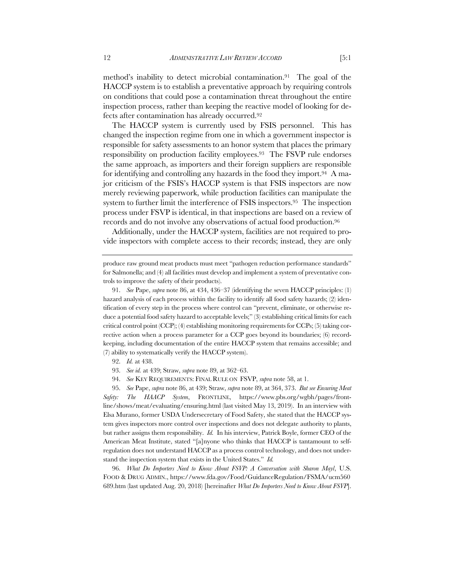method's inability to detect microbial contamination.91 The goal of the HACCP system is to establish a preventative approach by requiring controls on conditions that could pose a contamination threat throughout the entire inspection process, rather than keeping the reactive model of looking for defects after contamination has already occurred.92

The HACCP system is currently used by FSIS personnel. This has changed the inspection regime from one in which a government inspector is responsible for safety assessments to an honor system that places the primary responsibility on production facility employees.93 The FSVP rule endorses the same approach, as importers and their foreign suppliers are responsible for identifying and controlling any hazards in the food they import.94 A major criticism of the FSIS's HACCP system is that FSIS inspectors are now merely reviewing paperwork, while production facilities can manipulate the system to further limit the interference of FSIS inspectors.<sup>95</sup> The inspection process under FSVP is identical, in that inspections are based on a review of records and do not involve any observations of actual food production.96

Additionally, under the HACCP system, facilities are not required to provide inspectors with complete access to their records; instead, they are only

- 93. *See id.* at 439; Straw, *supra* note 89, at 362–63.
- 94. *See* KEY REQUIREMENTS: FINAL RULE ON FSVP, *supra* note 58, at 1.

95. *See* Pape, *supra* note 86, at 439; Straw, *supra* note 89, at 364, 373. *But see Ensuring Meat Safety: The HAACP System*, FRONTLINE, https://www.pbs.org/wgbh/pages/frontline/shows/meat/evaluating/ensuring.html (last visited May 13, 2019). In an interview with Elsa Murano, former USDA Undersecretary of Food Safety, she stated that the HACCP system gives inspectors more control over inspections and does not delegate authority to plants, but rather assigns them responsibility. *Id.* In his interview, Patrick Boyle, former CEO of the American Meat Institute, stated "[a]nyone who thinks that HACCP is tantamount to selfregulation does not understand HACCP as a process control technology, and does not understand the inspection system that exists in the United States." *Id.*

96. *What Do Importers Need to Know About FSVP: A Conversation with Sharon Mayl*, U.S. FOOD & DRUG ADMIN., https://www.fda.gov/Food/GuidanceRegulation/FSMA/ucm560 689.htm (last updated Aug. 20, 2018) [hereinafter *What Do Importers Need to Know About FSVP*].

produce raw ground meat products must meet "pathogen reduction performance standards" for Salmonella; and (4) all facilities must develop and implement a system of preventative controls to improve the safety of their products).

<sup>91.</sup> *See* Pape, *supra* note 86, at 434, 436–37 (identifying the seven HACCP principles: (1) hazard analysis of each process within the facility to identify all food safety hazards; (2) identification of every step in the process where control can "prevent, eliminate, or otherwise reduce a potential food safety hazard to acceptable levels;" (3) establishing critical limits for each critical control point (CCP); (4) establishing monitoring requirements for CCPs; (5) taking corrective action when a process parameter for a CCP goes beyond its boundaries; (6) recordkeeping, including documentation of the entire HACCP system that remains accessible; and (7) ability to systematically verify the HACCP system).

<sup>92.</sup> *Id.* at 438.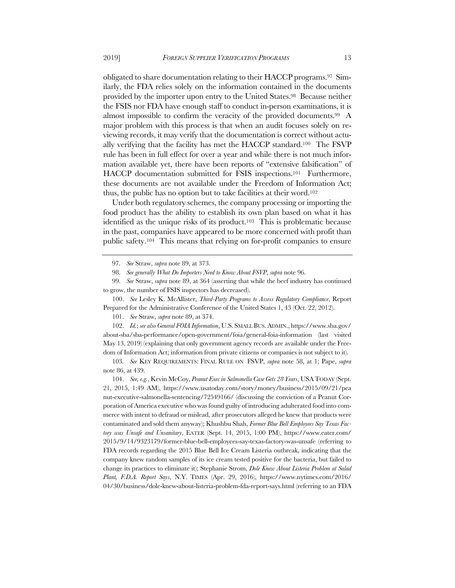obligated to share documentation relating to their HACCP programs.97 Similarly, the FDA relies solely on the information contained in the documents provided by the importer upon entry to the United States.98 Because neither the FSIS nor FDA have enough staff to conduct in-person examinations, it is almost impossible to confirm the veracity of the provided documents.99 A major problem with this process is that when an audit focuses solely on reviewing records, it may verify that the documentation is correct without actually verifying that the facility has met the HACCP standard.100 The FSVP rule has been in full effect for over a year and while there is not much information available yet, there have been reports of "extensive falsification" of HACCP documentation submitted for FSIS inspections.101 Furthermore, these documents are not available under the Freedom of Information Act; thus, the public has no option but to take facilities at their word.102

Under both regulatory schemes, the company processing or importing the food product has the ability to establish its own plan based on what it has identified as the unique risks of its product.103 This is problematic because in the past, companies have appeared to be more concerned with profit than public safety.104 This means that relying on for-profit companies to ensure

102. *Id.*; *see also General FOIA Information*, U.S. SMALL BUS.ADMIN., https://www.sba.gov/ about-sba/sba-performance/open-government/foia/general-foia-information (last visited May 13, 2019) (explaining that only government agency records are available under the Freedom of Information Act; information from private citizens or companies is not subject to it).

103*. See* KEY REQUIREMENTS: FINAL RULE ON FSVP, *supra* note 58, at 1; Pape, *supra* note 86, at 439.

104. *See, e.g.*, Kevin McCoy, *Peanut Exec in Salmonella Case Gets 28 Years*, USATODAY (Sept. 21, 2015, 1:49 AM), https://www.usatoday.com/story/money/business/2015/09/21/pea nut-executive-salmonella-sentencing/72549166/ (discussing the conviction of a Peanut Corporation of America executive who was found guilty of introducing adulterated food into commerce with intent to defraud or mislead, after prosecutors alleged he knew that products were contaminated and sold them anyway); Khushbu Shah, *Former Blue Bell Employees Say Texas Factory was Unsafe and Unsanitary*, EATER (Sept. 14, 2015, 1:00 PM), https://www.eater.com/ 2015/9/14/9323179/former-blue-bell-employees-say-texas-factory-was-unsafe (referring to FDA records regarding the 2015 Blue Bell Ice Cream Listeria outbreak, indicating that the company knew random samples of its ice cream tested positive for the bacteria, but failed to change its practices to eliminate it); Stephanie Strom, *Dole Knew About Listeria Problem at Salad Plant, F.D.A. Report Says*, N.Y. TIMES (Apr. 29, 2016), https://www.nytimes.com/2016/ 04/30/business/dole-knew-about-listeria-problem-fda-report-says.html (referring to an FDA

<sup>97.</sup> *See* Straw, *supra* note 89, at 373.

<sup>98.</sup> *See generally What Do Importers Need to Know About FSVP*, *supra* note 96.

<sup>99.</sup> *See* Straw, *supra* note 89, at 364 (asserting that while the beef industry has continued to grow, the number of FSIS inspectors has decreased).

<sup>100.</sup> *See* Lesley K. McAllister, *Third-Party Programs to Assess Regulatory Compliance*, Report Prepared for the Administrative Conference of the United States 1, 43 (Oct. 22, 2012).

<sup>101.</sup> *See* Straw, *supra* note 89, at 374.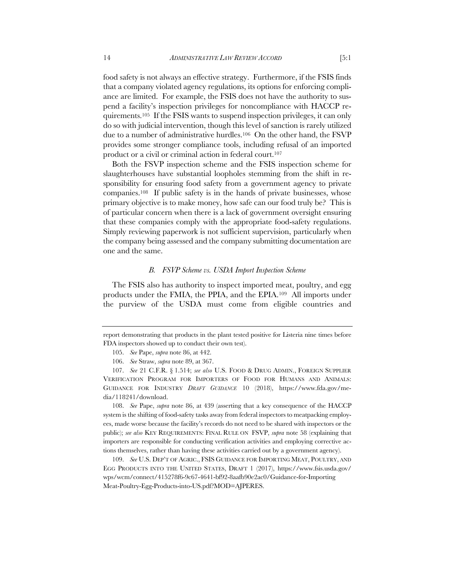food safety is not always an effective strategy. Furthermore, if the FSIS finds that a company violated agency regulations, its options for enforcing compliance are limited. For example, the FSIS does not have the authority to suspend a facility's inspection privileges for noncompliance with HACCP requirements.105 If the FSIS wants to suspend inspection privileges, it can only do so with judicial intervention, though this level of sanction is rarely utilized due to a number of administrative hurdles.106 On the other hand, the FSVP provides some stronger compliance tools, including refusal of an imported product or a civil or criminal action in federal court.<sup>107</sup>

Both the FSVP inspection scheme and the FSIS inspection scheme for slaughterhouses have substantial loopholes stemming from the shift in responsibility for ensuring food safety from a government agency to private companies.108 If public safety is in the hands of private businesses, whose primary objective is to make money, how safe can our food truly be? This is of particular concern when there is a lack of government oversight ensuring that these companies comply with the appropriate food-safety regulations. Simply reviewing paperwork is not sufficient supervision, particularly when the company being assessed and the company submitting documentation are one and the same.

## *B. FSVP Scheme vs. USDA Import Inspection Scheme*

The FSIS also has authority to inspect imported meat, poultry, and egg products under the FMIA, the PPIA, and the EPIA.109 All imports under the purview of the USDA must come from eligible countries and

108. *See* Pape, *supra* note 86, at 439 (asserting that a key consequence of the HACCP system is the shifting of food-safety tasks away from federal inspectors to meatpacking employees, made worse because the facility's records do not need to be shared with inspectors or the public); *see also* KEY REQUIREMENTS: FINAL RULE ON FSVP, *supra* note 58 (explaining that importers are responsible for conducting verification activities and employing corrective actions themselves, rather than having these activities carried out by a government agency).

109. *See* U.S. DEP'T OF AGRIC., FSIS GUIDANCE FOR IMPORTING MEAT, POULTRY, AND EGG PRODUCTS INTO THE UNITED STATES, DRAFT 1 (2017), https://www.fsis.usda.gov/ wps/wcm/connect/415278f6-9c67-4641-bf92-8aafb90e2ac0/Guidance-for-Importing Meat-Poultry-Egg-Products-into-US.pdf?MOD=AJPERES.

report demonstrating that products in the plant tested positive for Listeria nine times before FDA inspectors showed up to conduct their own test).

<sup>105.</sup> *See* Pape, *supra* note 86, at 442.

<sup>106.</sup> *See* Straw, *supra* note 89, at 367.

<sup>107.</sup> *See* 21 C.F.R. § 1.514; *see also* U.S. FOOD & DRUG ADMIN., FOREIGN SUPPLIER VERIFICATION PROGRAM FOR IMPORTERS OF FOOD FOR HUMANS AND ANIMALS: GUIDANCE FOR INDUSTRY *DRAFT GUIDANCE* 10 (2018), https://www.fda.gov/media/118241/download.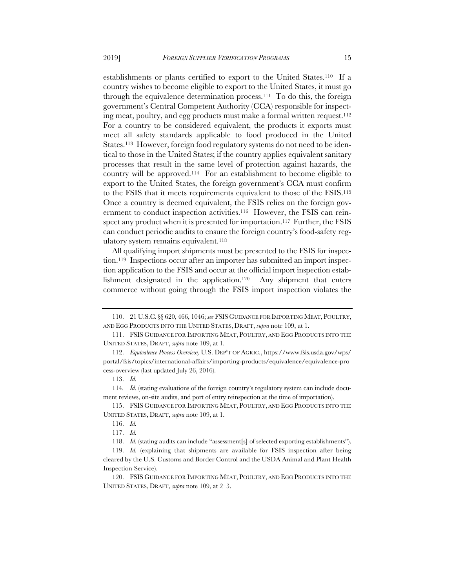establishments or plants certified to export to the United States.110 If a country wishes to become eligible to export to the United States, it must go through the equivalence determination process.111 To do this, the foreign government's Central Competent Authority (CCA) responsible for inspecting meat, poultry, and egg products must make a formal written request.112 For a country to be considered equivalent, the products it exports must meet all safety standards applicable to food produced in the United States.<sup>113</sup> However, foreign food regulatory systems do not need to be identical to those in the United States; if the country applies equivalent sanitary processes that result in the same level of protection against hazards, the country will be approved.114 For an establishment to become eligible to export to the United States, the foreign government's CCA must confirm to the FSIS that it meets requirements equivalent to those of the FSIS.115 Once a country is deemed equivalent, the FSIS relies on the foreign government to conduct inspection activities.<sup>116</sup> However, the FSIS can reinspect any product when it is presented for importation.117 Further, the FSIS can conduct periodic audits to ensure the foreign country's food-safety regulatory system remains equivalent.<sup>118</sup>

All qualifying import shipments must be presented to the FSIS for inspection.119 Inspections occur after an importer has submitted an import inspection application to the FSIS and occur at the official import inspection establishment designated in the application.120 Any shipment that enters commerce without going through the FSIS import inspection violates the

115. FSIS GUIDANCE FOR IMPORTING MEAT, POULTRY, AND EGG PRODUCTS INTO THE UNITED STATES, DRAFT, *supra* note 109, at 1.

<sup>110.</sup> 21 U.S.C. §§ 620, 466, 1046; *see* FSISGUIDANCE FOR IMPORTING MEAT, POULTRY, AND EGG PRODUCTS INTO THE UNITED STATES, DRAFT, *supra* note 109, at 1.

<sup>111.</sup> FSIS GUIDANCE FOR IMPORTING MEAT, POULTRY, AND EGG PRODUCTS INTO THE UNITED STATES, DRAFT, *supra* note 109, at 1.

<sup>112.</sup> *Equivalence Process Overview,* U.S. DEP'T OF AGRIC., https://www.fsis.usda.gov/wps/ portal/fsis/topics/international-affairs/importing-products/equivalence/equivalence-pro cess-overview (last updated July 26, 2016).

<sup>113.</sup> *Id.*

<sup>114</sup>*. Id.* (stating evaluations of the foreign country's regulatory system can include document reviews, on-site audits, and port of entry reinspection at the time of importation).

<sup>116.</sup> *Id.*

<sup>117.</sup> *Id.*

<sup>118.</sup> *Id.* (stating audits can include "assessment[s] of selected exporting establishments").

<sup>119.</sup> *Id.* (explaining that shipments are available for FSIS inspection after being cleared by the U.S. Customs and Border Control and the USDA Animal and Plant Health Inspection Service).

<sup>120.</sup> FSIS GUIDANCE FOR IMPORTING MEAT, POULTRY, AND EGG PRODUCTS INTO THE UNITED STATES, DRAFT, *supra* note 109, at 2–3.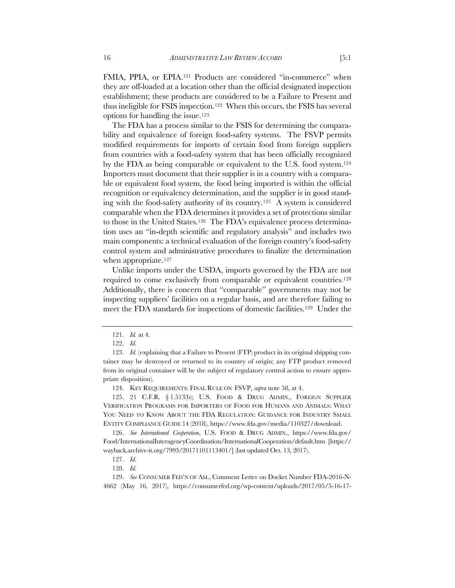FMIA, PPIA, or EPIA.<sup>121</sup> Products are considered "in-commerce" when they are off-loaded at a location other than the official designated inspection establishment; these products are considered to be a Failure to Present and thus ineligible for FSIS inspection.122 When this occurs, the FSIS has several options for handling the issue.123

The FDA has a process similar to the FSIS for determining the comparability and equivalence of foreign food-safety systems. The FSVP permits modified requirements for imports of certain food from foreign suppliers from countries with a food-safety system that has been officially recognized by the FDA as being comparable or equivalent to the U.S. food system.124 Importers must document that their supplier is in a country with a comparable or equivalent food system, the food being imported is within the official recognition or equivalency determination, and the supplier is in good standing with the food-safety authority of its country.125 A system is considered comparable when the FDA determines it provides a set of protections similar to those in the United States.126 The FDA's equivalence process determination uses an "in-depth scientific and regulatory analysis" and includes two main components: a technical evaluation of the foreign country's food-safety control system and administrative procedures to finalize the determination when appropriate.<sup>127</sup>

Unlike imports under the USDA, imports governed by the FDA are not required to come exclusively from comparable or equivalent countries.128 Additionally, there is concern that "comparable" governments may not be inspecting suppliers' facilities on a regular basis, and are therefore failing to meet the FDA standards for inspections of domestic facilities.129 Under the

124. KEY REQUIREMENTS: FINAL RULE ON FSVP, *supra* note 58, at 4.

125. 21 C.F.R. § 1.513(b); U.S. FOOD & DRUG ADMIN., FOREIGN SUPPLIER VERIFICATION PROGRAMS FOR IMPORTERS OF FOOD FOR HUMANS AND ANIMALS: WHAT YOU NEED TO KNOW ABOUT THE FDA REGULATION: GUIDANCE FOR INDUSTRY SMALL ENTITY COMPLIANCE GUIDE 14 (2018), https://www.fda.gov/media/110327/download.

126. *See International Cooperation*, U.S. FOOD & DRUG ADMIN., https://www.fda.gov/ Food/InternationalInteragencyCoordination/InternationalCooperation/default.htm [https:// wayback.archive-it.org/7993/20171101113401/] (last updated Oct. 13, 2017).

129. *See* CONSUMER FED'N OF AM., Comment Letter on Docket Number FDA-2016-N-4662 (May 16, 2017), https://consumerfed.org/wp-content/uploads/2017/05/5-16-17-

<sup>121.</sup> *Id.* at 4.

<sup>122.</sup> *Id.*

<sup>123.</sup> *Id.* (explaining that a Failure to Present (FTP) product in its original shipping container may be destroyed or returned to its country of origin; any FTP product removed from its original container will be the subject of regulatory control action to ensure appropriate disposition).

<sup>127.</sup> *Id.*

<sup>128.</sup> *Id.*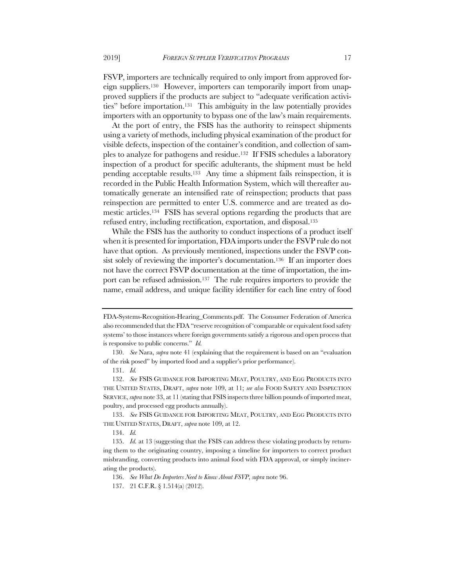FSVP, importers are technically required to only import from approved foreign suppliers.130 However, importers can temporarily import from unapproved suppliers if the products are subject to "adequate verification activities" before importation.131 This ambiguity in the law potentially provides importers with an opportunity to bypass one of the law's main requirements.

At the port of entry, the FSIS has the authority to reinspect shipments using a variety of methods, including physical examination of the product for visible defects, inspection of the container's condition, and collection of samples to analyze for pathogens and residue.132 If FSIS schedules a laboratory inspection of a product for specific adulterants, the shipment must be held pending acceptable results.133 Any time a shipment fails reinspection, it is recorded in the Public Health Information System, which will thereafter automatically generate an intensified rate of reinspection; products that pass reinspection are permitted to enter U.S. commerce and are treated as domestic articles.134 FSIS has several options regarding the products that are refused entry, including rectification, exportation, and disposal.135

While the FSIS has the authority to conduct inspections of a product itself when it is presented for importation, FDA imports under the FSVP rule do not have that option. As previously mentioned, inspections under the FSVP consist solely of reviewing the importer's documentation.<sup>136</sup> If an importer does not have the correct FSVP documentation at the time of importation, the import can be refused admission.137 The rule requires importers to provide the name, email address, and unique facility identifier for each line entry of food

133. *See* FSIS GUIDANCE FOR IMPORTING MEAT, POULTRY, AND EGG PRODUCTS INTO THE UNITED STATES, DRAFT, *supra* note 109, at 12.

134. *Id.*

FDA-Systems-Recognition-Hearing\_Comments.pdf. The Consumer Federation of America also recommended that the FDA "reserve recognition of 'comparable or equivalent food safety systems' to those instances where foreign governments satisfy a rigorous and open process that is responsive to public concerns." *Id.*

<sup>130.</sup> *See* Nara, *supra* note 41 (explaining that the requirement is based on an "evaluation of the risk posed" by imported food and a supplier's prior performance).

<sup>131.</sup> *Id.*

<sup>132.</sup> *See* FSIS GUIDANCE FOR IMPORTING MEAT, POULTRY, AND EGG PRODUCTS INTO THE UNITED STATES, DRAFT, *supra* note 109, at 11; *see also* FOOD SAFETY AND INSPECTION SERVICE, *supra* note 33, at 11 (stating that FSIS inspects three billion pounds of imported meat, poultry, and processed egg products annually).

<sup>135.</sup> *Id.* at 13 (suggesting that the FSIS can address these violating products by returning them to the originating country, imposing a timeline for importers to correct product misbranding, converting products into animal food with FDA approval, or simply incinerating the products).

<sup>136.</sup> *See What Do Importers Need to Know About FSVP*, *supra* note 96.

<sup>137.</sup> 21 C.F.R. § 1.514(a) (2012).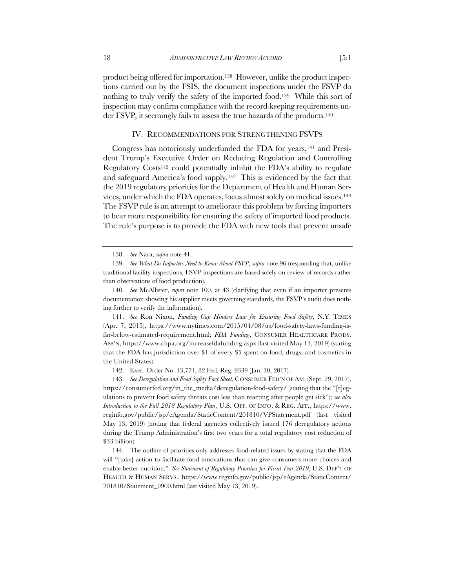product being offered for importation.138 However, unlike the product inspections carried out by the FSIS, the document inspections under the FSVP do nothing to truly verify the safety of the imported food.<sup>139</sup> While this sort of inspection may confirm compliance with the record-keeping requirements under FSVP, it seemingly fails to assess the true hazards of the products.140

#### IV. RECOMMENDATIONS FOR STRENGTHENING FSVPS

Congress has notoriously underfunded the FDA for years,141 and President Trump's Executive Order on Reducing Regulation and Controlling Regulatory Costs142 could potentially inhibit the FDA's ability to regulate and safeguard America's food supply.143 This is evidenced by the fact that the 2019 regulatory priorities for the Department of Health and Human Services, under which the FDA operates, focus almost solely on medical issues.144 The FSVP rule is an attempt to ameliorate this problem by forcing importers to bear more responsibility for ensuring the safety of imported food products. The rule's purpose is to provide the FDA with new tools that prevent unsafe

141. *See* Ron Nixon, *Funding Gap Hinders Law for Ensuring Food Safety*, N.Y. TIMES (Apr. 7, 2015), https://www.nytimes.com/2015/04/08/us/food-safety-laws-funding-isfar-below-estimated-requirement.html; *FDA Funding*, CONSUMER HEALTHCARE PRODS. ASS'N, https://www.chpa.org/increasefdafunding.aspx (last visited May 13, 2019) (stating that the FDA has jurisdiction over \$1 of every \$5 spent on food, drugs, and cosmetics in the United States).

142. Exec. Order No. 13,771, 82 Fed. Reg. 9339 (Jan. 30, 2017).

143. *See Deregulation and Food Safety Fact Sheet*, CONSUMER FED'N OF AM. (Sept. 29, 2017), https://consumerfed.org/in\_the\_media/deregulation-food-safety/ (stating that the "[r]egulations to prevent food safety threats cost less than reacting after people get sick"); *see also Introduction to the Fall 2018 Regulatory Plan*, U.S. OFF. OF INFO. & REG. AFF., https://www. reginfo.gov/public/jsp/eAgenda/StaticContent/201810/VPStatement.pdf (last visited May 13, 2019) (noting that federal agencies collectively issued 176 deregulatory actions during the Trump Administration's first two years for a total regulatory cost reduction of \$33 billion).

144. The outline of priorities only addresses food-related issues by stating that the FDA will "[take] action to facilitate food innovations that can give consumers more choices and enable better nutrition." *See Statement of Regulatory Priorities for Fiscal Year 2019*, U.S. DEP'T OF HEALTH & HUMAN SERVS., https://www.reginfo.gov/public/jsp/eAgenda/StaticContent/ 201810/Statement\_0900.html (last visited May 13, 2019).

<sup>138.</sup> *See* Nara, *supra* note 41.

<sup>139.</sup> *See What Do Importers Need to Know About FSVP*, *supra* note 96 (responding that, unlike traditional facility inspections, FSVP inspections are based solely on review of records rather than observations of food production).

<sup>140.</sup> *See* McAllister, *supra* note 100, at 43 (clarifying that even if an importer presents documentation showing his supplier meets governing standards, the FSVP's audit does nothing further to verify the information).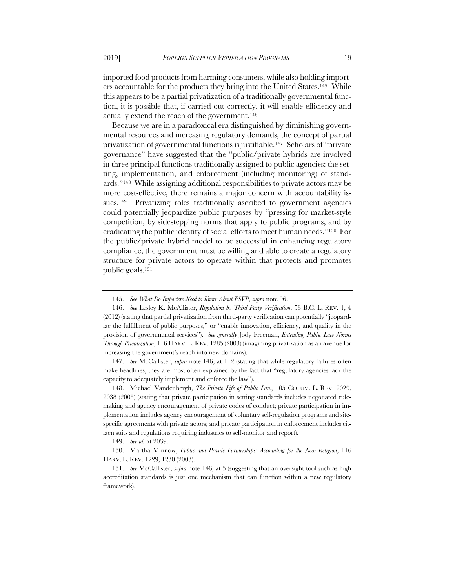imported food products from harming consumers, while also holding importers accountable for the products they bring into the United States.145 While this appears to be a partial privatization of a traditionally governmental function, it is possible that, if carried out correctly, it will enable efficiency and actually extend the reach of the government.146

Because we are in a paradoxical era distinguished by diminishing governmental resources and increasing regulatory demands, the concept of partial privatization of governmental functions is justifiable.147 Scholars of "private governance" have suggested that the "public/private hybrids are involved in three principal functions traditionally assigned to public agencies: the setting, implementation, and enforcement (including monitoring) of standards."148 While assigning additional responsibilities to private actors may be more cost-effective, there remains a major concern with accountability issues.<sup>149</sup> Privatizing roles traditionally ascribed to government agencies could potentially jeopardize public purposes by "pressing for market-style competition, by sidestepping norms that apply to public programs, and by eradicating the public identity of social efforts to meet human needs."150 For the public/private hybrid model to be successful in enhancing regulatory compliance, the government must be willing and able to create a regulatory structure for private actors to operate within that protects and promotes public goals.151

147. *See* McCallister, *supra* note 146, at 1–2 (stating that while regulatory failures often make headlines, they are most often explained by the fact that "regulatory agencies lack the capacity to adequately implement and enforce the law").

148. Michael Vandenbergh, *The Private Life of Public Law*, 105 COLUM. L. REV. 2029, 2038 (2005) (stating that private participation in setting standards includes negotiated rulemaking and agency encouragement of private codes of conduct; private participation in implementation includes agency encouragement of voluntary self-regulation programs and sitespecific agreements with private actors; and private participation in enforcement includes citizen suits and regulations requiring industries to self-monitor and report).

150. Martha Minnow, *Public and Private Partnerships: Accounting for the New Religion*, 116 HARV. L. REV. 1229, 1230 (2003).

<sup>145.</sup> *See What Do Importers Need to Know About FSVP*, *supra* note 96.

<sup>146.</sup> *See* Lesley K. McAllister, *Regulation by Third-Party Verification*, 53 B.C. L. REV. 1, 4 (2012) (stating that partial privatization from third-party verification can potentially "jeopardize the fulfillment of public purposes," or "enable innovation, efficiency, and quality in the provision of governmental services"). *See generally* Jody Freeman, *Extending Public Law Norms Through Privatization*, 116 HARV. L. REV. 1285 (2003) (imagining privatization as an avenue for increasing the government's reach into new domains).

<sup>149.</sup> *See id.* at 2039.

<sup>151.</sup> *See* McCallister, *supra* note 146, at 5 (suggesting that an oversight tool such as high accreditation standards is just one mechanism that can function within a new regulatory framework).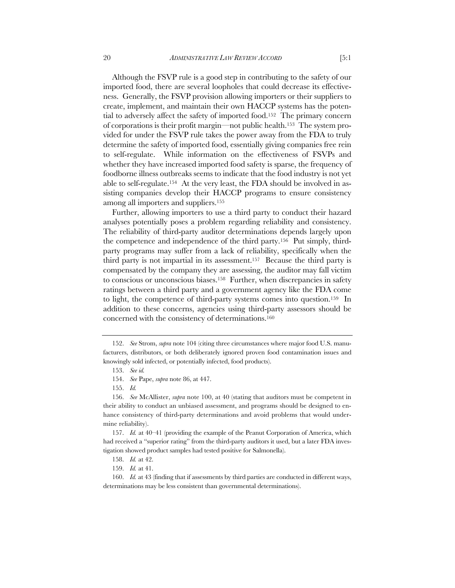Although the FSVP rule is a good step in contributing to the safety of our imported food, there are several loopholes that could decrease its effectiveness. Generally, the FSVP provision allowing importers or their suppliers to create, implement, and maintain their own HACCP systems has the potential to adversely affect the safety of imported food.152 The primary concern of corporations is their profit margin—not public health.153 The system provided for under the FSVP rule takes the power away from the FDA to truly determine the safety of imported food, essentially giving companies free rein to self-regulate. While information on the effectiveness of FSVPs and whether they have increased imported food safety is sparse, the frequency of foodborne illness outbreaks seems to indicate that the food industry is not yet able to self-regulate.154 At the very least, the FDA should be involved in assisting companies develop their HACCP programs to ensure consistency among all importers and suppliers.155

Further, allowing importers to use a third party to conduct their hazard analyses potentially poses a problem regarding reliability and consistency. The reliability of third-party auditor determinations depends largely upon the competence and independence of the third party.156 Put simply, thirdparty programs may suffer from a lack of reliability, specifically when the third party is not impartial in its assessment.157 Because the third party is compensated by the company they are assessing, the auditor may fall victim to conscious or unconscious biases.158 Further, when discrepancies in safety ratings between a third party and a government agency like the FDA come to light, the competence of third-party systems comes into question.159 In addition to these concerns, agencies using third-party assessors should be concerned with the consistency of determinations.160

<sup>152.</sup> *See* Strom, *supra* note 104 (citing three circumstances where major food U.S. manufacturers, distributors, or both deliberately ignored proven food contamination issues and knowingly sold infected, or potentially infected, food products).

<sup>153.</sup> *See id.*

<sup>154.</sup> *See* Pape, *supra* note 86, at 447.

<sup>155.</sup> *Id.*

<sup>156.</sup> *See* McAllister, *supra* note 100, at 40 (stating that auditors must be competent in their ability to conduct an unbiased assessment, and programs should be designed to enhance consistency of third-party determinations and avoid problems that would undermine reliability).

<sup>157.</sup> *Id.* at 40–41 (providing the example of the Peanut Corporation of America, which had received a "superior rating" from the third-party auditors it used, but a later FDA investigation showed product samples had tested positive for Salmonella).

<sup>158.</sup> *Id.* at 42.

<sup>159.</sup> *Id.* at 41.

<sup>160.</sup> *Id.* at 43 (finding that if assessments by third parties are conducted in different ways, determinations may be less consistent than governmental determinations).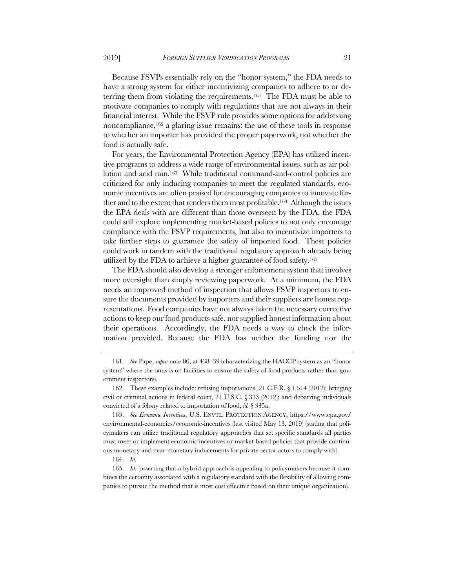Because FSVPs essentially rely on the "honor system," the FDA needs to have a strong system for either incentivizing companies to adhere to or deterring them from violating the requirements.161 The FDA must be able to motivate companies to comply with regulations that are not always in their financial interest. While the FSVP rule provides some options for addressing noncompliance,162 a glaring issue remains: the use of these tools in response to whether an importer has provided the proper paperwork, not whether the food is actually safe.

For years, the Environmental Protection Agency (EPA) has utilized incentive programs to address a wide range of environmental issues, such as air pollution and acid rain.163 While traditional command-and-control policies are criticized for only inducing companies to meet the regulated standards, economic incentives are often praised for encouraging companies to innovate further and to the extent that renders them most profitable.164 Although the issues the EPA deals with are different than those overseen by the FDA, the FDA could still explore implementing market-based policies to not only encourage compliance with the FSVP requirements, but also to incentivize importers to take further steps to guarantee the safety of imported food. These policies could work in tandem with the traditional regulatory approach already being utilized by the FDA to achieve a higher guarantee of food safety.165

The FDA should also develop a stronger enforcement system that involves more oversight than simply reviewing paperwork. At a minimum, the FDA needs an improved method of inspection that allows FSVP inspectors to ensure the documents provided by importers and their suppliers are honest representations. Food companies have not always taken the necessary corrective actions to keep our food products safe, nor supplied honest information about their operations. Accordingly, the FDA needs a way to check the information provided. Because the FDA has neither the funding nor the

163. *See Economic Incentives*, U.S. ENVTL. PROTECTION AGENCY, https://www.epa.gov/ environmental-economics/economic-incentives (last visited May 13, 2019) (stating that policymakers can utilize traditional regulatory approaches that set specific standards all parties must meet or implement economic incentives or market-based policies that provide continuous monetary and near-monetary inducements for private-sector actors to comply with).

165. *Id.* (asserting that a hybrid approach is appealing to policymakers because it combines the certainty associated with a regulatory standard with the flexibility of allowing companies to pursue the method that is most cost effective based on their unique organization).

<sup>161.</sup> *See* Pape, *supra* note 86, at 438–39 (characterizing the HACCP system as an "honor system" where the onus is on facilities to ensure the safety of food products rather than government inspectors).

<sup>162.</sup> These examples include: refusing importations, 21 C.F.R. § 1.514 (2012); bringing civil or criminal actions in federal court, 21 U.S.C. § 333 (2012); and debarring individuals convicted of a felony related to importation of food, *id.* § 335a.

<sup>164.</sup> *Id.*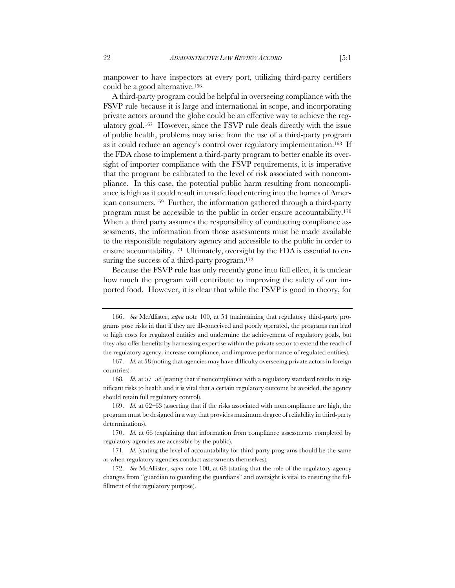manpower to have inspectors at every port, utilizing third-party certifiers could be a good alternative.166

A third-party program could be helpful in overseeing compliance with the FSVP rule because it is large and international in scope, and incorporating private actors around the globe could be an effective way to achieve the regulatory goal.167 However, since the FSVP rule deals directly with the issue of public health, problems may arise from the use of a third-party program as it could reduce an agency's control over regulatory implementation.168 If the FDA chose to implement a third-party program to better enable its oversight of importer compliance with the FSVP requirements, it is imperative that the program be calibrated to the level of risk associated with noncompliance. In this case, the potential public harm resulting from noncompliance is high as it could result in unsafe food entering into the homes of American consumers.169 Further, the information gathered through a third-party program must be accessible to the public in order ensure accountability.170 When a third party assumes the responsibility of conducting compliance assessments, the information from those assessments must be made available to the responsible regulatory agency and accessible to the public in order to ensure accountability.<sup>171</sup> Ultimately, oversight by the FDA is essential to ensuring the success of a third-party program.<sup>172</sup>

Because the FSVP rule has only recently gone into full effect, it is unclear how much the program will contribute to improving the safety of our imported food. However, it is clear that while the FSVP is good in theory, for

<sup>166.</sup> *See* McAllister, *supra* note 100, at 54 (maintaining that regulatory third-party programs pose risks in that if they are ill-conceived and poorly operated, the programs can lead to high costs for regulated entities and undermine the achievement of regulatory goals, but they also offer benefits by harnessing expertise within the private sector to extend the reach of the regulatory agency, increase compliance, and improve performance of regulated entities).

<sup>167.</sup> *Id.* at 58 (noting that agencies may have difficulty overseeing private actors in foreign countries).

<sup>168</sup>*. Id.* at 57–58 (stating that if noncompliance with a regulatory standard results in significant risks to health and it is vital that a certain regulatory outcome be avoided, the agency should retain full regulatory control).

<sup>169.</sup> *Id.* at 62–63 (asserting that if the risks associated with noncompliance are high, the program must be designed in a way that provides maximum degree of reliability in third-party determinations).

<sup>170.</sup> *Id.* at 66 (explaining that information from compliance assessments completed by regulatory agencies are accessible by the public).

<sup>171</sup>*. Id.* (stating the level of accountability for third-party programs should be the same as when regulatory agencies conduct assessments themselves).

<sup>172.</sup> *See* McAllister, *supra* note 100, at 68 (stating that the role of the regulatory agency changes from "guardian to guarding the guardians" and oversight is vital to ensuring the fulfillment of the regulatory purpose).